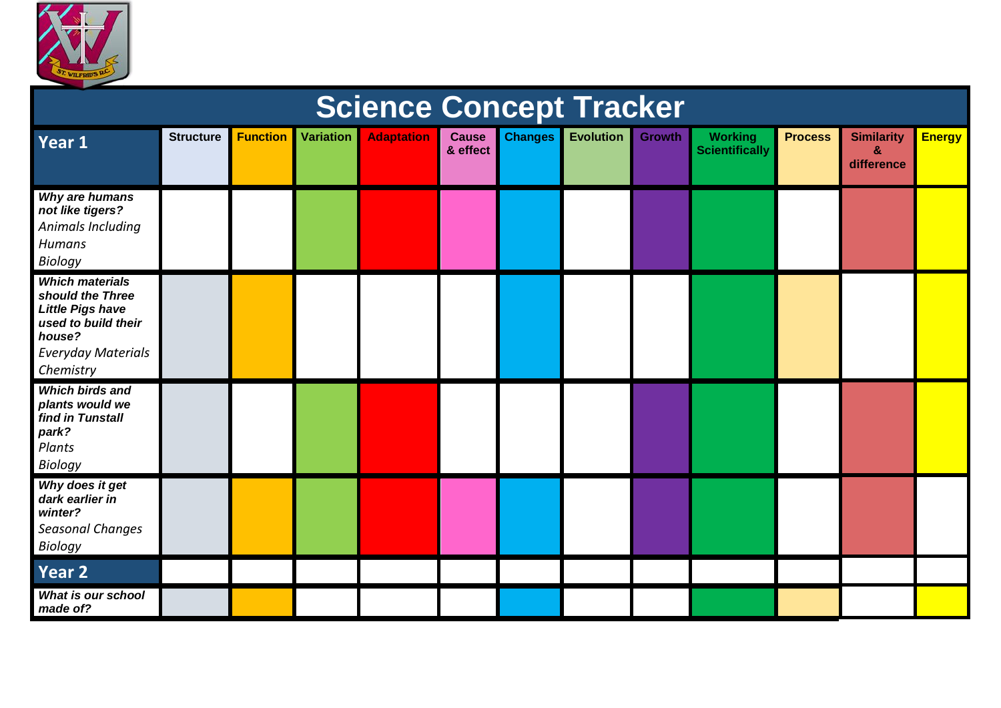

| <b>Science Concept Tracker</b>                                                                                                                   |                  |                 |                  |                   |                          |                |                  |               |                                         |                |                                      |               |
|--------------------------------------------------------------------------------------------------------------------------------------------------|------------------|-----------------|------------------|-------------------|--------------------------|----------------|------------------|---------------|-----------------------------------------|----------------|--------------------------------------|---------------|
| Year 1                                                                                                                                           | <b>Structure</b> | <b>Function</b> | <b>Variation</b> | <b>Adaptation</b> | <b>Cause</b><br>& effect | <b>Changes</b> | <b>Evolution</b> | <b>Growth</b> | <b>Working</b><br><b>Scientifically</b> | <b>Process</b> | <b>Similarity</b><br>&<br>difference | <b>Energy</b> |
| Why are humans<br>not like tigers?<br>Animals Including<br><b>Humans</b><br><b>Biology</b>                                                       |                  |                 |                  |                   |                          |                |                  |               |                                         |                |                                      |               |
| <b>Which materials</b><br>should the Three<br><b>Little Pigs have</b><br>used to build their<br>house?<br><b>Everyday Materials</b><br>Chemistry |                  |                 |                  |                   |                          |                |                  |               |                                         |                |                                      |               |
| <b>Which birds and</b><br>plants would we<br>find in Tunstall<br>park?<br>Plants<br><b>Biology</b>                                               |                  |                 |                  |                   |                          |                |                  |               |                                         |                |                                      |               |
| Why does it get<br>dark earlier in<br>winter?<br><b>Seasonal Changes</b><br><b>Biology</b>                                                       |                  |                 |                  |                   |                          |                |                  |               |                                         |                |                                      |               |
| Year 2                                                                                                                                           |                  |                 |                  |                   |                          |                |                  |               |                                         |                |                                      |               |
| What is our school<br>made of?                                                                                                                   |                  |                 |                  |                   |                          |                |                  |               |                                         |                |                                      |               |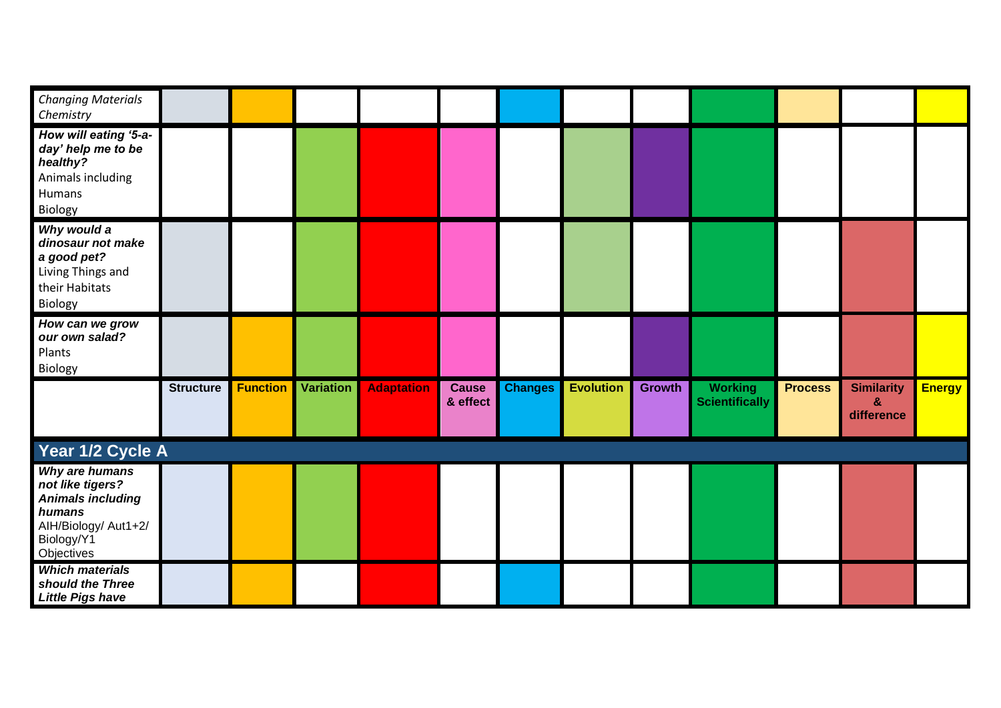| <b>Changing Materials</b><br>Chemistry                                                                                       |                  |                 |                  |                   |                          |                |                  |               |                                         |                |                                      |               |
|------------------------------------------------------------------------------------------------------------------------------|------------------|-----------------|------------------|-------------------|--------------------------|----------------|------------------|---------------|-----------------------------------------|----------------|--------------------------------------|---------------|
| How will eating '5-a-<br>day' help me to be<br>healthy?<br>Animals including<br>Humans<br>Biology                            |                  |                 |                  |                   |                          |                |                  |               |                                         |                |                                      |               |
| Why would a<br>dinosaur not make<br>a good pet?<br>Living Things and<br>their Habitats<br>Biology                            |                  |                 |                  |                   |                          |                |                  |               |                                         |                |                                      |               |
| How can we grow<br>our own salad?<br>Plants<br>Biology                                                                       |                  |                 |                  |                   |                          |                |                  |               |                                         |                |                                      |               |
|                                                                                                                              | <b>Structure</b> | <b>Function</b> | <b>Variation</b> | <b>Adaptation</b> | <b>Cause</b><br>& effect | <b>Changes</b> | <b>Evolution</b> | <b>Growth</b> | <b>Working</b><br><b>Scientifically</b> | <b>Process</b> | <b>Similarity</b><br>&<br>difference | <b>Energy</b> |
| Year 1/2 Cycle A                                                                                                             |                  |                 |                  |                   |                          |                |                  |               |                                         |                |                                      |               |
| Why are humans<br>not like tigers?<br><b>Animals including</b><br>humans<br>AIH/Biology/ Aut1+2/<br>Biology/Y1<br>Objectives |                  |                 |                  |                   |                          |                |                  |               |                                         |                |                                      |               |
| <b>Which materials</b><br>should the Three<br><b>Little Pigs have</b>                                                        |                  |                 |                  |                   |                          |                |                  |               |                                         |                |                                      |               |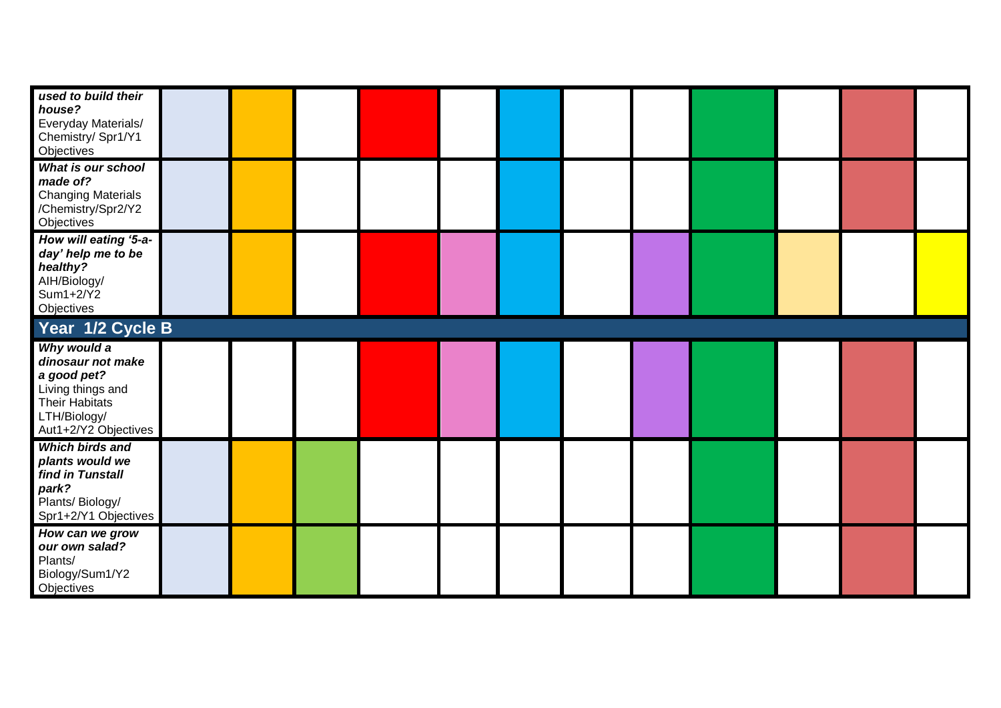| used to build their<br>house?<br>Everyday Materials/<br>Chemistry/ Spr1/Y1<br>Objectives                                              |  |  |  |  |  |  |
|---------------------------------------------------------------------------------------------------------------------------------------|--|--|--|--|--|--|
| What is our school<br>made of?<br><b>Changing Materials</b><br>/Chemistry/Spr2/Y2<br>Objectives                                       |  |  |  |  |  |  |
| How will eating '5-a-<br>day' help me to be<br>healthy?<br>AIH/Biology/<br>Sum1+2/Y2<br>Objectives                                    |  |  |  |  |  |  |
| Year 1/2 Cycle B                                                                                                                      |  |  |  |  |  |  |
| Why would a<br>dinosaur not make<br>a good pet?<br>Living things and<br><b>Their Habitats</b><br>LTH/Biology/<br>Aut1+2/Y2 Objectives |  |  |  |  |  |  |
| <b>Which birds and</b><br>plants would we<br>find in Tunstall<br>park?<br>Plants/ Biology/<br>Spr1+2/Y1 Objectives                    |  |  |  |  |  |  |
| How can we grow<br>our own salad?<br>Plants/<br>Biology/Sum1/Y2<br>Objectives                                                         |  |  |  |  |  |  |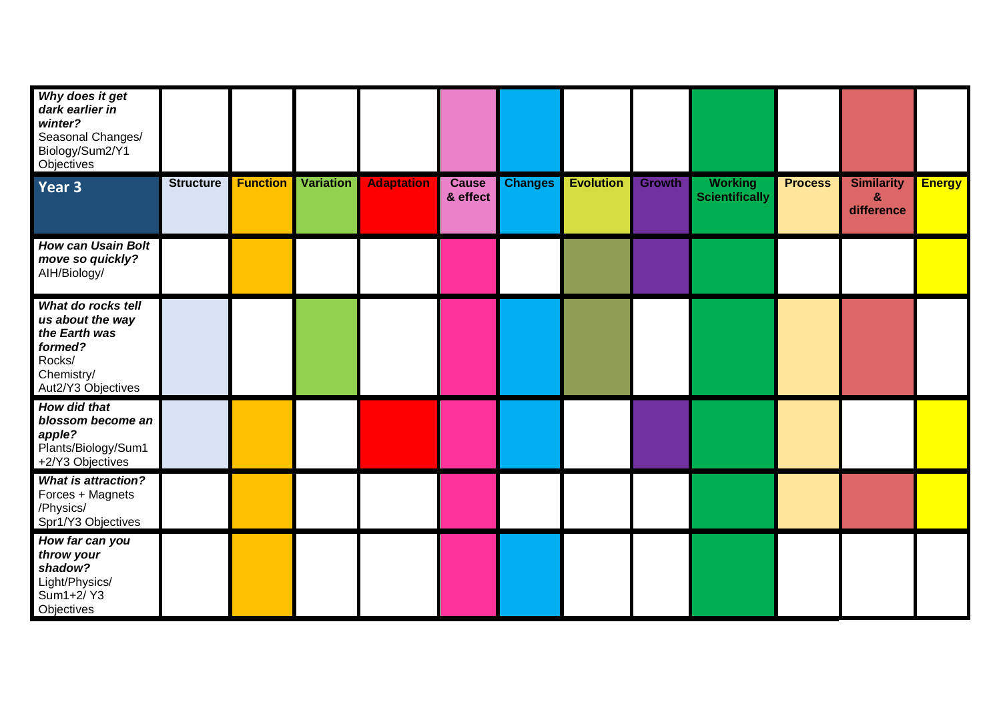| Why does it get<br>dark earlier in<br>winter?<br>Seasonal Changes/<br>Biology/Sum2/Y1<br>Objectives              |                  |                 |                  |                   |                          |                |                  |               |                                         |                |                                                 |               |
|------------------------------------------------------------------------------------------------------------------|------------------|-----------------|------------------|-------------------|--------------------------|----------------|------------------|---------------|-----------------------------------------|----------------|-------------------------------------------------|---------------|
| Year 3                                                                                                           | <b>Structure</b> | <b>Function</b> | <b>Variation</b> | <b>Adaptation</b> | <b>Cause</b><br>& effect | <b>Changes</b> | <b>Evolution</b> | <b>Growth</b> | <b>Working</b><br><b>Scientifically</b> | <b>Process</b> | <b>Similarity</b><br>$\mathbf{g}$<br>difference | <b>Energy</b> |
| <b>How can Usain Bolt</b><br>move so quickly?<br>AIH/Biology/                                                    |                  |                 |                  |                   |                          |                |                  |               |                                         |                |                                                 |               |
| What do rocks tell<br>us about the way<br>the Earth was<br>formed?<br>Rocks/<br>Chemistry/<br>Aut2/Y3 Objectives |                  |                 |                  |                   |                          |                |                  |               |                                         |                |                                                 |               |
| How did that<br>blossom become an<br>apple?<br>Plants/Biology/Sum1<br>+2/Y3 Objectives                           |                  |                 |                  |                   |                          |                |                  |               |                                         |                |                                                 |               |
| <b>What is attraction?</b><br>Forces + Magnets<br>/Physics/<br>Spr1/Y3 Objectives                                |                  |                 |                  |                   |                          |                |                  |               |                                         |                |                                                 |               |
| How far can you<br>throw your<br>shadow?<br>Light/Physics/<br>Sum1+2/Y3<br>Objectives                            |                  |                 |                  |                   |                          |                |                  |               |                                         |                |                                                 |               |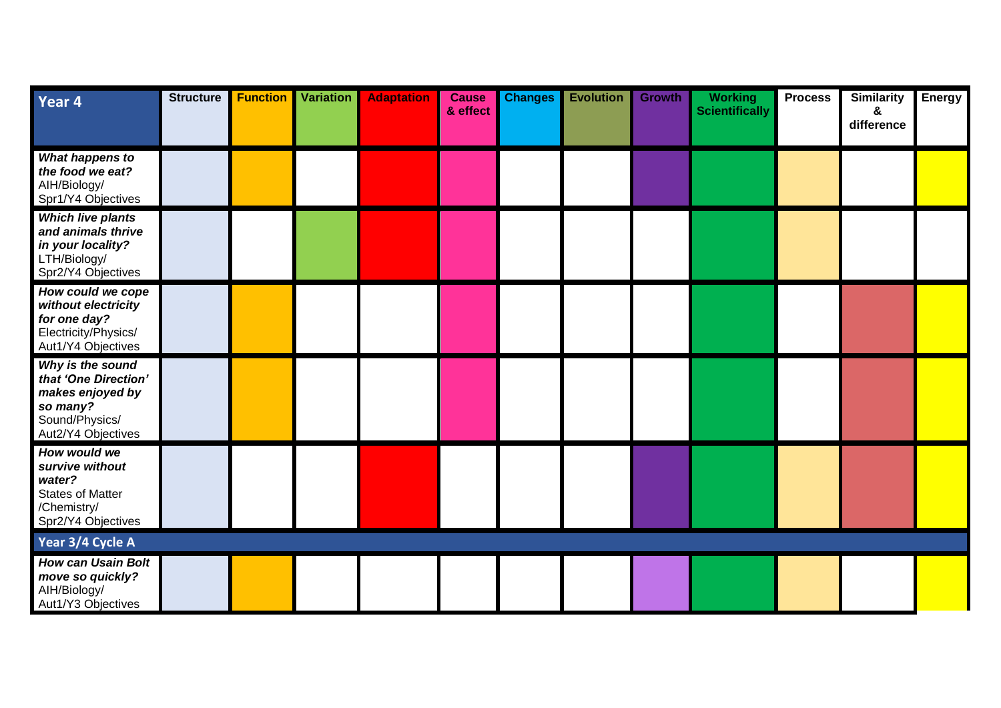| Year 4                                                                                                           | <b>Structure</b> | <b>Function</b> | <b>Variation</b> | <b>Adaptation</b> | <b>Cause</b><br>& effect | <b>Changes</b> | <b>Evolution</b> | <b>Growth</b> | <b>Working</b><br><b>Scientifically</b> | <b>Process</b> | <b>Similarity</b><br>&<br>difference | <b>Energy</b> |
|------------------------------------------------------------------------------------------------------------------|------------------|-----------------|------------------|-------------------|--------------------------|----------------|------------------|---------------|-----------------------------------------|----------------|--------------------------------------|---------------|
| What happens to<br>the food we eat?<br>AIH/Biology/<br>Spr1/Y4 Objectives                                        |                  |                 |                  |                   |                          |                |                  |               |                                         |                |                                      |               |
| <b>Which live plants</b><br>and animals thrive<br>in your locality?<br>LTH/Biology/<br>Spr2/Y4 Objectives        |                  |                 |                  |                   |                          |                |                  |               |                                         |                |                                      |               |
| How could we cope<br>without electricity<br>for one day?<br>Electricity/Physics/<br>Aut1/Y4 Objectives           |                  |                 |                  |                   |                          |                |                  |               |                                         |                |                                      |               |
| Why is the sound<br>that 'One Direction'<br>makes enjoyed by<br>so many?<br>Sound/Physics/<br>Aut2/Y4 Objectives |                  |                 |                  |                   |                          |                |                  |               |                                         |                |                                      |               |
| How would we<br>survive without<br>water?<br><b>States of Matter</b><br>/Chemistry/<br>Spr2/Y4 Objectives        |                  |                 |                  |                   |                          |                |                  |               |                                         |                |                                      |               |
| Year 3/4 Cycle A                                                                                                 |                  |                 |                  |                   |                          |                |                  |               |                                         |                |                                      |               |
| <b>How can Usain Bolt</b><br>move so quickly?<br>AIH/Biology/<br>Aut1/Y3 Objectives                              |                  |                 |                  |                   |                          |                |                  |               |                                         |                |                                      |               |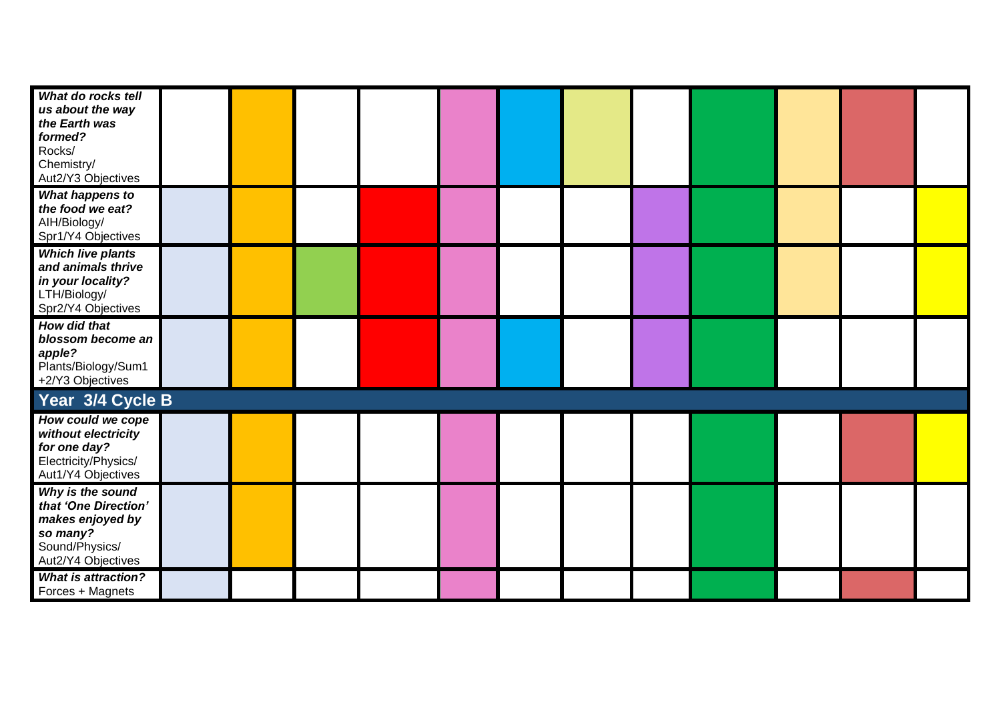| What do rocks tell<br>us about the way<br>the Earth was<br>formed?<br>Rocks/<br>Chemistry/<br>Aut2/Y3 Objectives |  |  |  |  |  |  |
|------------------------------------------------------------------------------------------------------------------|--|--|--|--|--|--|
| What happens to<br>the food we eat?<br>AIH/Biology/<br>Spr1/Y4 Objectives                                        |  |  |  |  |  |  |
| <b>Which live plants</b><br>and animals thrive<br>in your locality?<br>LTH/Biology/<br>Spr2/Y4 Objectives        |  |  |  |  |  |  |
| <b>How did that</b><br>blossom become an<br>apple?<br>Plants/Biology/Sum1<br>+2/Y3 Objectives                    |  |  |  |  |  |  |
| Year 3/4 Cycle B                                                                                                 |  |  |  |  |  |  |
| How could we cope<br>without electricity<br>for one day?<br>Electricity/Physics/<br>Aut1/Y4 Objectives           |  |  |  |  |  |  |
| Why is the sound<br>that 'One Direction'<br>makes enjoyed by<br>so many?<br>Sound/Physics/<br>Aut2/Y4 Objectives |  |  |  |  |  |  |
| <b>What is attraction?</b><br>Forces + Magnets                                                                   |  |  |  |  |  |  |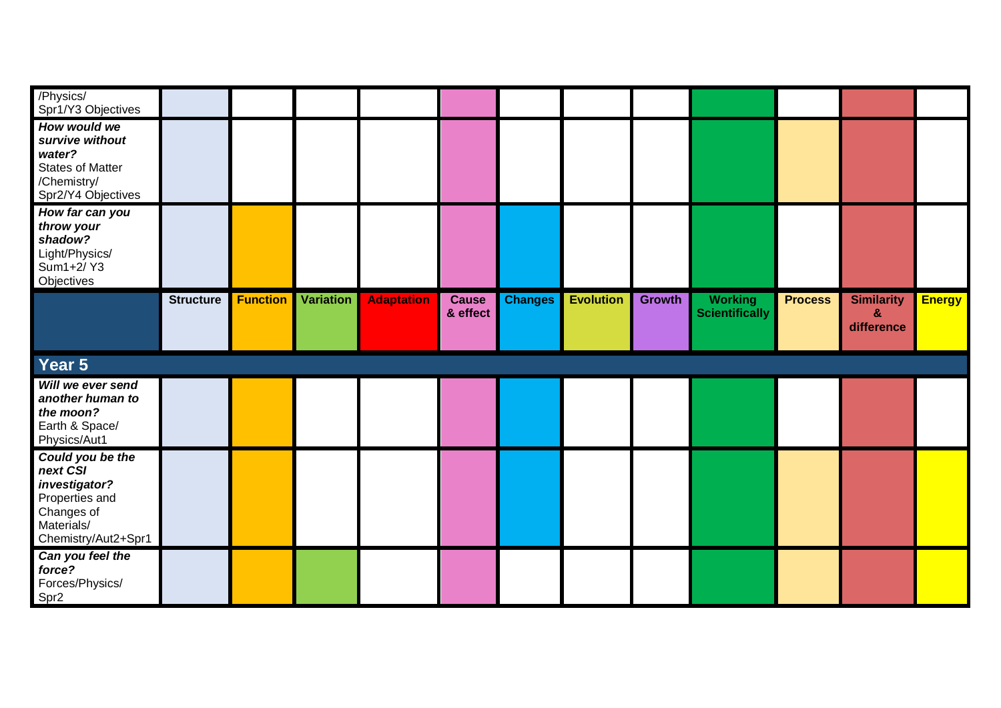| /Physics/<br>Spr1/Y3 Objectives                                                                                    |                  |                 |                  |                   |                          |                |                  |               |                                         |                |                                                 |               |
|--------------------------------------------------------------------------------------------------------------------|------------------|-----------------|------------------|-------------------|--------------------------|----------------|------------------|---------------|-----------------------------------------|----------------|-------------------------------------------------|---------------|
| How would we<br>survive without<br>water?<br><b>States of Matter</b><br>/Chemistry/<br>Spr2/Y4 Objectives          |                  |                 |                  |                   |                          |                |                  |               |                                         |                |                                                 |               |
| How far can you<br>throw your<br>shadow?<br>Light/Physics/<br>Sum1+2/Y3<br>Objectives                              |                  |                 |                  |                   |                          |                |                  |               |                                         |                |                                                 |               |
|                                                                                                                    | <b>Structure</b> | <b>Function</b> | <b>Variation</b> | <b>Adaptation</b> | <b>Cause</b><br>& effect | <b>Changes</b> | <b>Evolution</b> | <b>Growth</b> | <b>Working</b><br><b>Scientifically</b> | <b>Process</b> | <b>Similarity</b><br>$\mathbf{g}$<br>difference | <b>Energy</b> |
| Year 5                                                                                                             |                  |                 |                  |                   |                          |                |                  |               |                                         |                |                                                 |               |
| Will we ever send<br>another human to                                                                              |                  |                 |                  |                   |                          |                |                  |               |                                         |                |                                                 |               |
| the moon?<br>Earth & Space/<br>Physics/Aut1                                                                        |                  |                 |                  |                   |                          |                |                  |               |                                         |                |                                                 |               |
| Could you be the<br>next CSI<br>investigator?<br>Properties and<br>Changes of<br>Materials/<br>Chemistry/Aut2+Spr1 |                  |                 |                  |                   |                          |                |                  |               |                                         |                |                                                 |               |